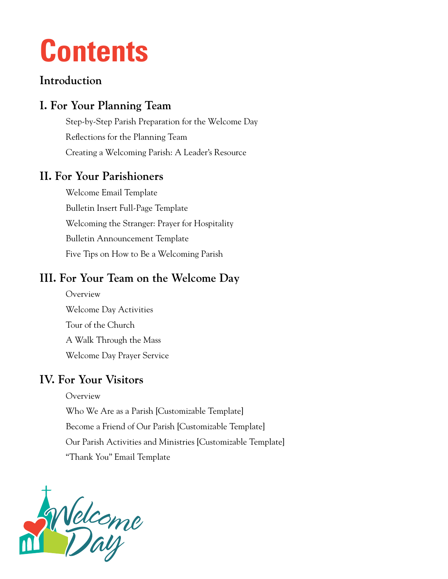## **Contents**

### **Introduction**

### **I. For Your Planning Team**

[Step-by-Step Parish Preparation for the Welcome Day](#page-2-0) [Reflections for the Planning Team](#page-5-0) [Creating a Welcoming Parish: A Leader's Resource](#page-6-0)

### **II. For Your Parishioners**

Welcome [Email Template](#page-8-0) [Bulletin Insert Full-Page Template](#page-9-0) [Welcoming the Stranger: Prayer for Hospitality](#page-10-0) [Bulletin Announcement Template](#page-11-0) [Five Tips on How to Be a Welcoming Parish](#page-12-0)

### **III. For Your Team on the Welcome Day**

[Overview](#page-13-0) [Welcome Day](#page-14-0) Activities [Tour of the Church](#page-16-0) [A Walk Through the Mass](#page-19-0) [Welcome Day Prayer Service](#page-25-0)

### **IV. For Your Visitors**

[Overview](#page-28-0) [Who We Are as a Parish \[Customizable Template\]](#page-29-0) [Become a Friend of Our Parish \[Customizable Template\]](#page-30-0) [Our Parish Activities and Ministries \[Customizable Template\]](#page-31-0) ["Thank You" Email Template](#page-32-0)

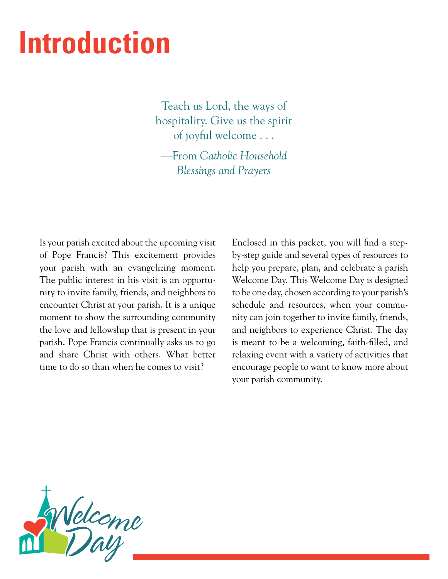## **Introduction**

Teach us Lord, the ways of hospitality. Give us the spirit of joyful welcome . . .

—From *Catholic Household Blessings and Prayers*

Is your parish excited about the upcoming visit of Pope Francis? This excitement provides your parish with an evangelizing moment. The public interest in his visit is an opportunity to invite family, friends, and neighbors to encounter Christ at your parish. It is a unique moment to show the surrounding community the love and fellowship that is present in your parish. Pope Francis continually asks us to go and share Christ with others. What better time to do so than when he comes to visit?

Enclosed in this packet, you will find a stepby-step guide and several types of resources to help you prepare, plan, and celebrate a parish Welcome Day. This Welcome Day is designed to be one day, chosen according to your parish's schedule and resources, when your community can join together to invite family, friends, and neighbors to experience Christ. The day is meant to be a welcoming, faith-filled, and relaxing event with a variety of activities that encourage people to want to know more about your parish community.

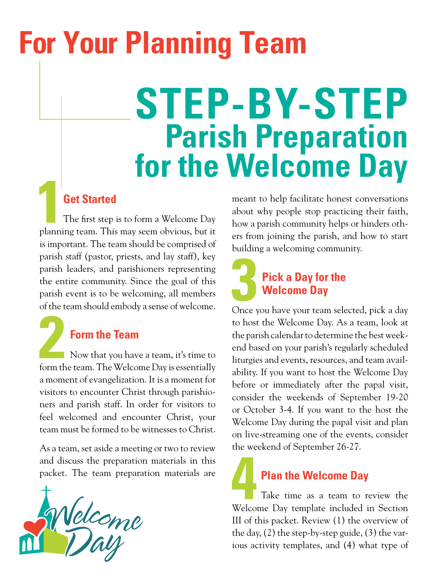# <span id="page-2-0"></span>**For Your Planning Team**

# **STEP-BY-STEP for the Welcome Day**

**16 Get Started**<br>
16 The first step is to form a Welcome Day<br>
planning team. This may seem obvious, but it The first step is to form a Welcome Day is important. The team should be comprised of parish staff (pastor, priests, and lay staff), key parish leaders, and parishioners representing the entire community. Since the goal of this parish event is to be welcoming, all members of the team should embody a sense of welcome.

**2Porm the Team**<br>
Now that you have a team, it's time to<br>
form the team. The Welcome Day is essentially Now that you have a team, it's time to a moment of evangelization. It is a moment for visitors to encounter Christ through parishioners and parish staff. In order for visitors to feel welcomed and encounter Christ, your team must be formed to be witnesses to Christ.

As a team, set aside a meeting or two to review and discuss the preparation materials in this packet. The team preparation materials are



meant to help facilitate honest conversations about why people stop practicing their faith, how a parish community helps or hinders others from joining the parish, and how to start building a welcoming community.

## **3 Pick a Day for the Welcome Day**<br>
Once you have your team selected, pick a day **Welcome Day**

to host the Welcome Day. As a team, look at the parish calendar to determine the best weekend based on your parish's regularly scheduled liturgies and events, resources, and team availability. If you want to host the Welcome Day before or immediately after the papal visit, consider the weekends of September 19-20 or October 3-4. If you want to the host the Welcome Day during the papal visit and plan on live-streaming one of the events, consider the weekend of September 26-27.

**4 Plan the Welcome Day** Take time as a team to review the Welcome Day template included in Section III of this packet. Review (1) the overview of the day, (2) the step-by-step guide, (3) the various activity templates, and (4) what type of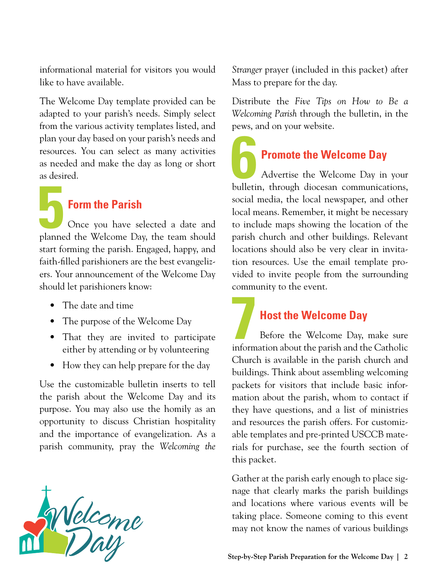informational material for visitors you would like to have available.

The Welcome Day template provided can be adapted to your parish's needs. Simply select from the various activity templates listed, and plan your day based on your parish's needs and resources. You can select as many activities as needed and make the day as long or short as desired.

## **5Form the Parish**

Once you have selected a date and planned the Welcome Day, the team should start forming the parish. Engaged, happy, and faith-filled parishioners are the best evangelizers. Your announcement of the Welcome Day should let parishioners know:

- The date and time
- The purpose of the Welcome Day
- That they are invited to participate either by attending or by volunteering
- How they can help prepare for the day

Use the customizable bulletin inserts to tell the parish about the Welcome Day and its purpose. You may also use the homily as an opportunity to discuss Christian hospitality and the importance of evangelization. As a parish community, pray the *Welcoming the* 



*Stranger* prayer (included in this packet) after Mass to prepare for the day.

Distribute the *Five Tips on How to Be a Welcoming Parish* through the bulletin, in the pews, and on your website.

**6 Promote the Welcome Day** Advertise the Welcome Day in your bulletin, through diocesan communications, social media, the local newspaper, and other local means. Remember, it might be necessary to include maps showing the location of the parish church and other buildings. Relevant locations should also be very clear in invitation resources. Use the email template provided to invite people from the surrounding community to the event.

**7 Host the Welcome Day** Before the Welcome Day, make sure information about the parish and the Catholic Church is available in the parish church and buildings. Think about assembling welcoming packets for visitors that include basic information about the parish, whom to contact if they have questions, and a list of ministries and resources the parish offers. For customizable templates and pre-printed USCCB materials for purchase, see the fourth section of this packet.

Gather at the parish early enough to place signage that clearly marks the parish buildings and locations where various events will be taking place. Someone coming to this event may not know the names of various buildings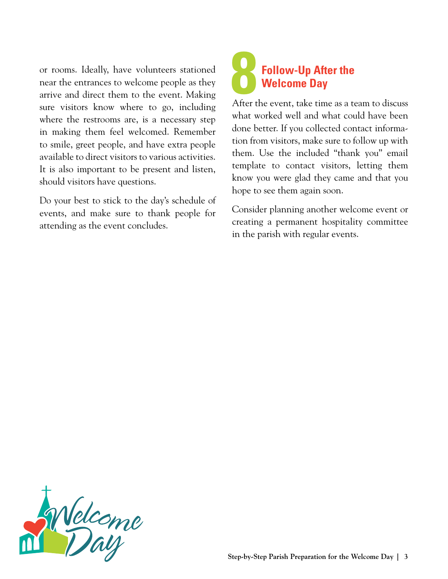or rooms. Ideally, have volunteers stationed near the entrances to welcome people as they arrive and direct them to the event. Making sure visitors know where to go, including where the restrooms are, is a necessary step in making them feel welcomed. Remember to smile, greet people, and have extra people available to direct visitors to various activities. It is also important to be present and listen, should visitors have questions.

Do your best to stick to the day's schedule of events, and make sure to thank people for attending as the event concludes.

## **8Follow-Up After the Welcome Day**

After the event, take time as a team to discuss what worked well and what could have been done better. If you collected contact information from visitors, make sure to follow up with them. Use the included "thank you" email template to contact visitors, letting them know you were glad they came and that you hope to see them again soon.

Consider planning another welcome event or creating a permanent hospitality committee in the parish with regular events.

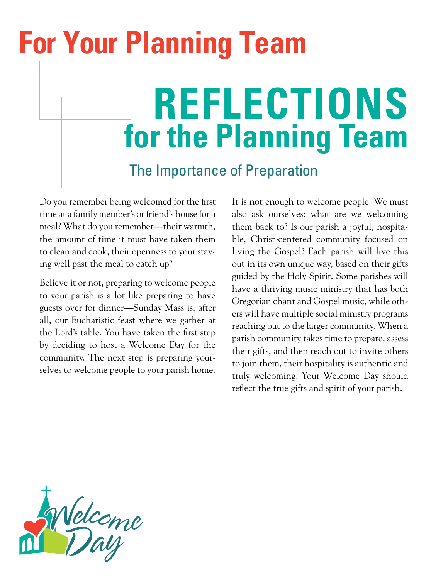# <span id="page-5-0"></span>**REFLECTIONS for the Planning Team** The Importance of Preparation **For Your Planning Team**

Do you remember being welcomed for the first time at a family member's or friend's house for a meal? What do you remember—their warmth, the amount of time it must have taken them to clean and cook, their openness to your staying well past the meal to catch up?

Believe it or not, preparing to welcome people to your parish is a lot like preparing to have guests over for dinner—Sunday Mass is, after all, our Eucharistic feast where we gather at the Lord's table. You have taken the first step by deciding to host a Welcome Day for the community. The next step is preparing yourselves to welcome people to your parish home.

It is not enough to welcome people. We must also ask ourselves: what are we welcoming them back to? Is our parish a joyful, hospitable, Christ-centered community focused on living the Gospel? Each parish will live this out in its own unique way, based on their gifts guided by the Holy Spirit. Some parishes will have a thriving music ministry that has both Gregorian chant and Gospel music, while others will have multiple social ministry programs reaching out to the larger community. When a parish community takes time to prepare, assess their gifts, and then reach out to invite others to join them, their hospitality is authentic and truly welcoming. Your Welcome Day should reflect the true gifts and spirit of your parish.

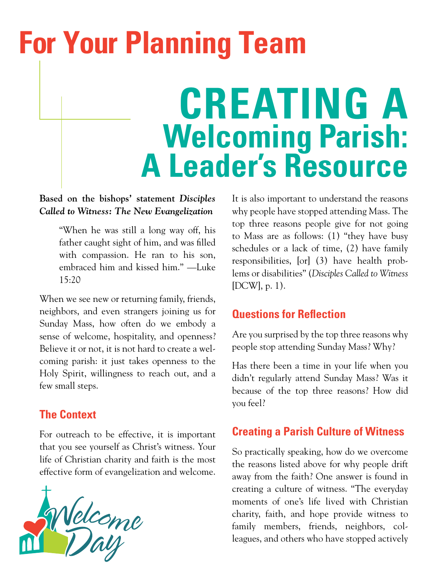# <span id="page-6-0"></span>**For Your Planning Team**

# **CREATING A Welcoming Parish: A Leader's Resource**

### **Based on the bishops' statement** *Disciples Called to Witness: The New Evangelization*

"When he was still a long way off, his father caught sight of him, and was filled with compassion. He ran to his son, embraced him and kissed him." —Luke 15:20

When we see new or returning family, friends, neighbors, and even strangers joining us for Sunday Mass, how often do we embody a sense of welcome, hospitality, and openness? Believe it or not, it is not hard to create a welcoming parish: it just takes openness to the Holy Spirit, willingness to reach out, and a few small steps.

### **The Context**

For outreach to be effective, it is important that you see yourself as Christ's witness. Your life of Christian charity and faith is the most effective form of evangelization and welcome.



It is also important to understand the reasons why people have stopped attending Mass. The top three reasons people give for not going to Mass are as follows: (1) "they have busy schedules or a lack of time, (2) have family responsibilities, [or] (3) have health problems or disabilities" (*Disciples Called to Witness* [DCW], p. 1).

### **Questions for Reflection**

Are you surprised by the top three reasons why people stop attending Sunday Mass? Why?

Has there been a time in your life when you didn't regularly attend Sunday Mass? Was it because of the top three reasons? How did you feel?

### **Creating a Parish Culture of Witness**

So practically speaking, how do we overcome the reasons listed above for why people drift away from the faith? One answer is found in creating a culture of witness. "The everyday moments of one's life lived with Christian charity, faith, and hope provide witness to family members, friends, neighbors, colleagues, and others who have stopped actively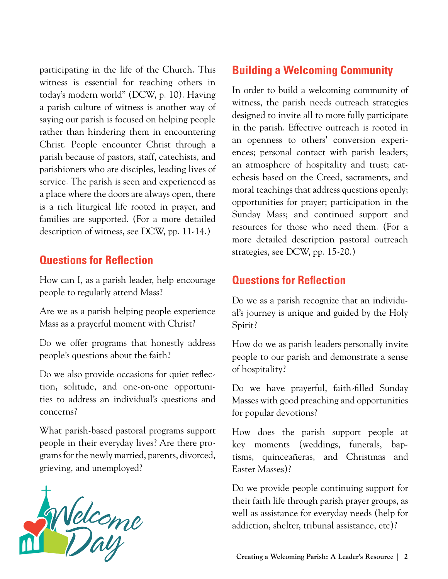participating in the life of the Church. This witness is essential for reaching others in today's modern world" (DCW, p. 10). Having a parish culture of witness is another way of saying our parish is focused on helping people rather than hindering them in encountering Christ. People encounter Christ through a parish because of pastors, staff, catechists, and parishioners who are disciples, leading lives of service. The parish is seen and experienced as a place where the doors are always open, there is a rich liturgical life rooted in prayer, and families are supported. (For a more detailed description of witness, see DCW, pp. 11-14.)

### **Questions for Reflection**

How can I, as a parish leader, help encourage people to regularly attend Mass?

Are we as a parish helping people experience Mass as a prayerful moment with Christ?

Do we offer programs that honestly address people's questions about the faith?

Do we also provide occasions for quiet reflection, solitude, and one-on-one opportunities to address an individual's questions and concerns?

What parish-based pastoral programs support people in their everyday lives? Are there programs for the newly married, parents, divorced, grieving, and unemployed?



### **Building a Welcoming Community**

In order to build a welcoming community of witness, the parish needs outreach strategies designed to invite all to more fully participate in the parish. Effective outreach is rooted in an openness to others' conversion experiences; personal contact with parish leaders; an atmosphere of hospitality and trust; catechesis based on the Creed, sacraments, and moral teachings that address questions openly; opportunities for prayer; participation in the Sunday Mass; and continued support and resources for those who need them. (For a more detailed description pastoral outreach strategies, see DCW, pp. 15-20.)

### **Questions for Reflection**

Do we as a parish recognize that an individual's journey is unique and guided by the Holy Spirit?

How do we as parish leaders personally invite people to our parish and demonstrate a sense of hospitality?

Do we have prayerful, faith-filled Sunday Masses with good preaching and opportunities for popular devotions?

How does the parish support people at key moments (weddings, funerals, baptisms, quinceañeras, and Christmas and Easter Masses)?

Do we provide people continuing support for their faith life through parish prayer groups, as well as assistance for everyday needs (help for addiction, shelter, tribunal assistance, etc)?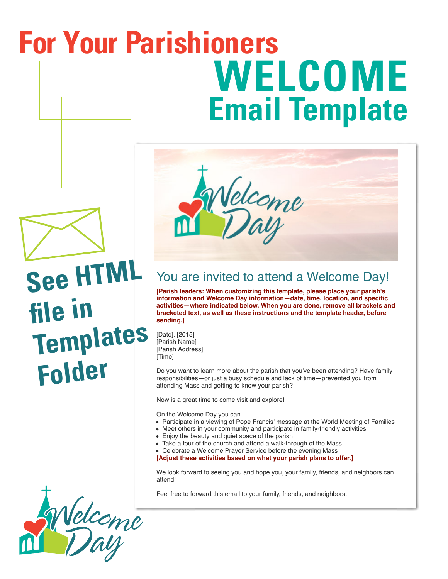# <span id="page-8-0"></span>**WELCOME Email Template For Your Parishioners**



```
See HTML 
file in 
Templates 
 Folder
```


## You are invited to attend a Welcome Day!

**[Parish leaders: When customizing this template, please place your parish's information and Welcome Day information—date, time, location, and specific activities—where indicated below. When you are done, remove all brackets and bracketed text, as well as these instructions and the template header, before sending.]**

[Date], [2015] [Parish Name] [Parish Address] [Time]

Do you want to learn more about the parish that you've been attending? Have family responsibilities—or just a busy schedule and lack of time—prevented you from attending Mass and getting to know your parish?

Now is a great time to come visit and explore!

On the Welcome Day you can

- Participate in a viewing of Pope Francis' message at the World Meeting of Families
- Meet others in your community and participate in family-friendly activities
- Enjoy the beauty and quiet space of the parish
- Take a tour of the church and attend a walk-through of the Mass
- Celebrate a Welcome Prayer Service before the evening Mass

**[Adjust these activities based on what your parish plans to offer.]**

We look forward to seeing you and hope you, your family, friends, and neighbors can attend!

Feel free to forward this email to your family, friends, and neighbors.

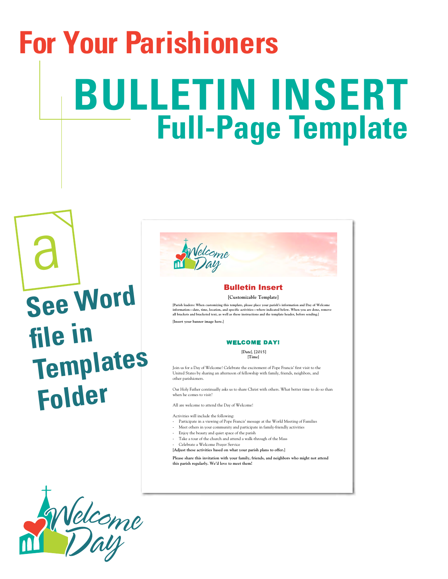# <span id="page-9-0"></span>**BULLETIN INSERT Full-Page Template For Your Parishioners**

a **See Word file in Templates Folder**

### Bulletin Insert

**[Customizable Template]** 

[Parish leaders: When customizing this template, please place your parish's information and Day of Welcome<br>information—date, time, location, and specific activities—where indicated below. When you are done, remove<br>all brac

[**Insert your banner image here.**]

#### WELCOME DAY!

[**Date**], **[2015]** [**Time**]

Join us for a Day of Welcome! Celebrate the excitement of Pope Francis' first visit to the United States by sharing an afternoon of fellowship with family, friends, neighbors, and other parishioners.

Our Holy Father continually asks us to share Christ with others. What better time to do so than when he comes to visit?

All are welcome to attend the Day of Welcome!

Activities will include the following:

- -‐ Participate in a viewing of Pope Francis' message at the World Meeting of Families
- Meet others in your community and participate in family-friendly activities
- Enjoy the beauty and quiet space of the parish Take a tour of the church and attend a walk-through of the Mass
- Celebrate a Welcome Prayer Service
- [**Adjust these activities based on what your parish plans to offer.**]

**Please share this invitation with your family, friends, and neighbors who might not attend this parish regularly. We'd love to meet them!**

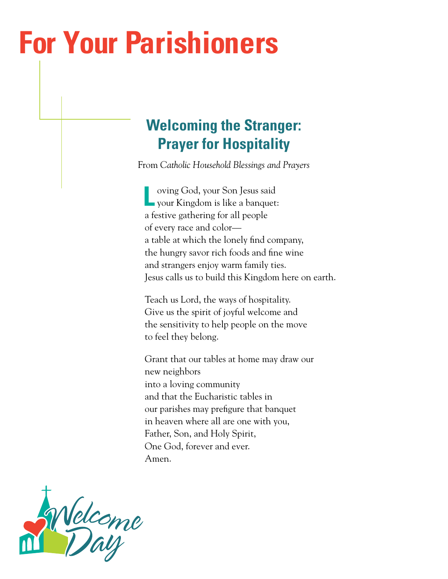## <span id="page-10-0"></span>**For Your Parishioners**

## **Welcoming the Stranger: Prayer for Hospitality**

From *Catholic Household Blessings and Prayers*

**L** oving God, your Son Jesus said your Kingdom is like a banquet: a festive gathering for all people of every race and color a table at which the lonely find company, the hungry savor rich foods and fine wine and strangers enjoy warm family ties. Jesus calls us to build this Kingdom here on earth.

Teach us Lord, the ways of hospitality. Give us the spirit of joyful welcome and the sensitivity to help people on the move to feel they belong.

Grant that our tables at home may draw our new neighbors into a loving community and that the Eucharistic tables in our parishes may prefigure that banquet in heaven where all are one with you, Father, Son, and Holy Spirit, One God, forever and ever. Amen.

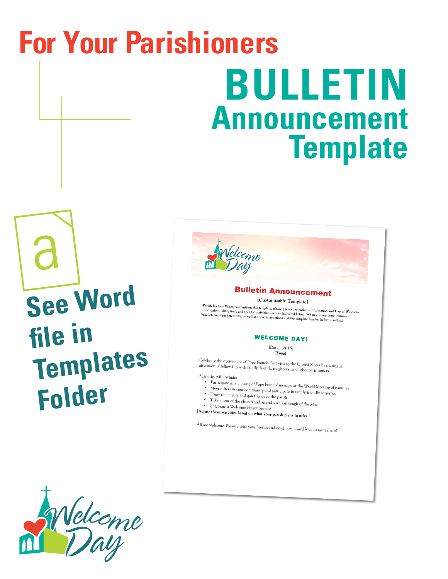# <span id="page-11-0"></span>**BULLETIN Announcement Template For Your Parishioners**

a **See Word file in Templates Folder**

### Bulletin Announcement

**[Customizable Template]** 

[Parish leaders: When customizing this template, please place your parish's information and Day of Welcome<br>information—date, time, and specific activities—where indicated below. When you are done, remove all<br>brackets and b

### WELCOME DAY!

[**Date**], [**2015]** [**Time**]

Celebrate the excitement of Pope Francis' first visit to the United States by sharing an afternoon of fellowship with family, friends, neighbors, and other parishioners.

Activities will include:

- Participate in a viewing of Pope Francis' message at the World Meeting of Families •
- Meet others in your community and participate in family-friendly activities
- Enjoy the beauty and quiet space of the parish
- Take a tour of the church and attend a walk-through of the Mass

Celebrate a Welcome Prayer Service

[**Adjust these activities based on what your parish plans to offer.**]

All are welcome. Please invite your friends and neighbors—we'd love to meet them!

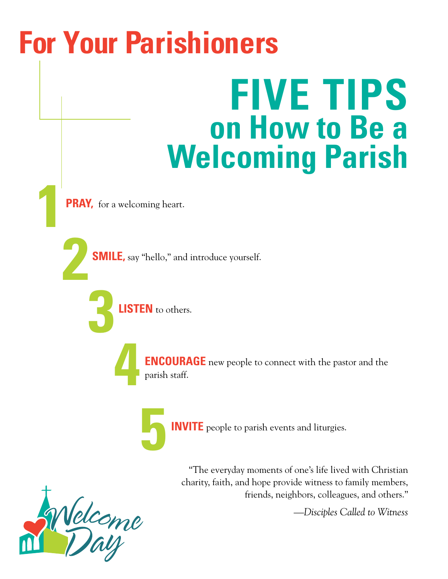# <span id="page-12-0"></span>**FIVE TIPS on How to Be a Welcoming Parish For Your Parishioners**

**PRAY**, for a welcoming heart.

**2 SMILE,** say "hello," and introduce yourself.

**3LISTEN** to others.



**ENCOURAGE** new people to connect with the pastor and the parish staff.



"The everyday moments of one's life lived with Christian charity, faith, and hope provide witness to family members, friends, neighbors, colleagues, and others."

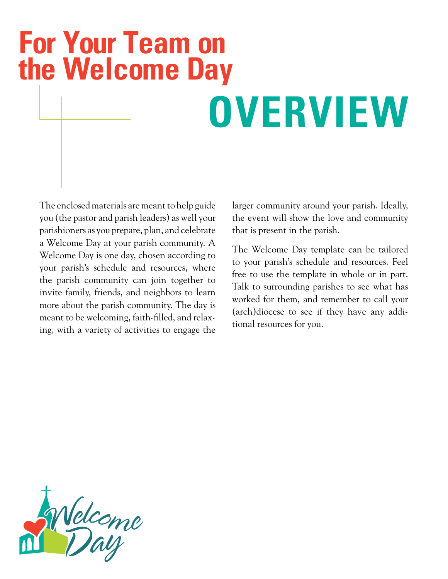## <span id="page-13-0"></span>**For Your Team on the Welcome Day**

# **OVERVIEW**

The enclosed materials are meant to help guide you (the pastor and parish leaders) as well your parishioners as you prepare, plan, and celebrate a Welcome Day at your parish community. A Welcome Day is one day, chosen according to your parish's schedule and resources, where the parish community can join together to invite family, friends, and neighbors to learn more about the parish community. The day is meant to be welcoming, faith-filled, and relaxing, with a variety of activities to engage the larger community around your parish. Ideally, the event will show the love and community that is present in the parish.

The Welcome Day template can be tailored to your parish's schedule and resources. Feel free to use the template in whole or in part. Talk to surrounding parishes to see what has worked for them, and remember to call your (arch)diocese to see if they have any additional resources for you.

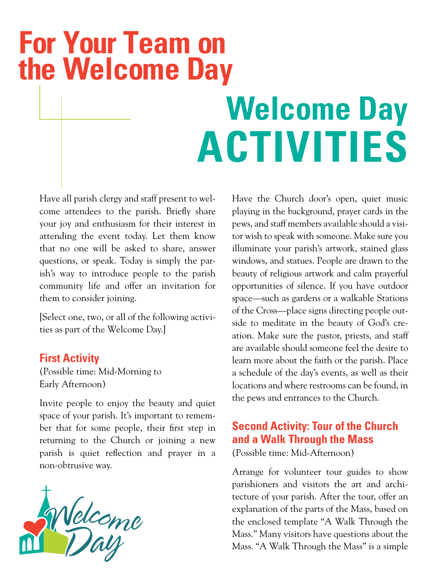## <span id="page-14-0"></span>**For Your Team on the Welcome Day**

# **Welcome Day ACTIVITIES**

Have all parish clergy and staff present to welcome attendees to the parish. Briefly share your joy and enthusiasm for their interest in attending the event today. Let them know that no one will be asked to share, answer questions, or speak. Today is simply the parish's way to introduce people to the parish community life and offer an invitation for them to consider joining.

[Select one, two, or all of the following activities as part of the Welcome Day.]

### **First Activity**

(Possible time: Mid-Morning to Early Afternoon)

Invite people to enjoy the beauty and quiet space of your parish. It's important to remember that for some people, their first step in returning to the Church or joining a new parish is quiet reflection and prayer in a non-obtrusive way.



Have the Church door's open, quiet music playing in the background, prayer cards in the pews, and staff members available should a visitor wish to speak with someone. Make sure you illuminate your parish's artwork, stained glass windows, and statues. People are drawn to the beauty of religious artwork and calm prayerful opportunities of silence. If you have outdoor space—such as gardens or a walkable Stations of the Cross—place signs directing people outside to meditate in the beauty of God's creation. Make sure the pastor, priests, and staff are available should someone feel the desire to learn more about the faith or the parish. Place a schedule of the day's events, as well as their locations and where restrooms can be found, in the pews and entrances to the Church.

## **Second Activity: Tour of the Church and a Walk Through the Mass**

(Possible time: Mid-Afternoon)

Arrange for volunteer tour guides to show parishioners and visitors the art and architecture of your parish. After the tour, offer an explanation of the parts of the Mass, based on the enclosed template "A Walk Through the Mass." Many visitors have questions about the Mass. "A Walk Through the Mass" is a simple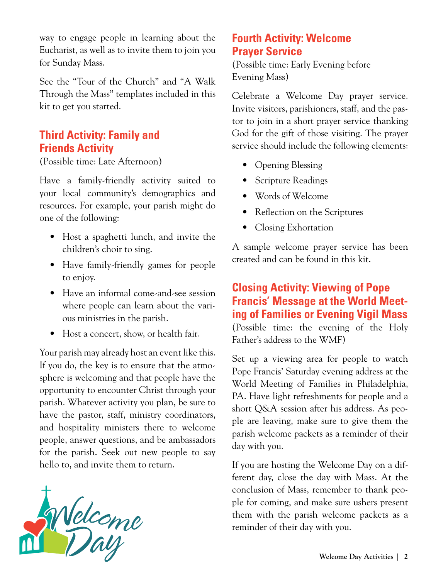way to engage people in learning about the Eucharist, as well as to invite them to join you for Sunday Mass.

See the "Tour of the Church" and "A Walk Through the Mass" templates included in this kit to get you started.

### **Third Activity: Family and Friends Activity**

(Possible time: Late Afternoon)

Have a family-friendly activity suited to your local community's demographics and resources. For example, your parish might do one of the following:

- Host a spaghetti lunch, and invite the children's choir to sing.
- Have family-friendly games for people to enjoy.
- Have an informal come-and-see session where people can learn about the various ministries in the parish.
- Host a concert, show, or health fair.

Your parish may already host an event like this. If you do, the key is to ensure that the atmosphere is welcoming and that people have the opportunity to encounter Christ through your parish. Whatever activity you plan, be sure to have the pastor, staff, ministry coordinators, and hospitality ministers there to welcome people, answer questions, and be ambassadors for the parish. Seek out new people to say hello to, and invite them to return.



### **Fourth Activity: Welcome Prayer Service**

(Possible time: Early Evening before Evening Mass)

Celebrate a Welcome Day prayer service. Invite visitors, parishioners, staff, and the pastor to join in a short prayer service thanking God for the gift of those visiting. The prayer service should include the following elements:

- Opening Blessing
- Scripture Readings
- Words of Welcome
- Reflection on the Scriptures
- Closing Exhortation

A sample welcome prayer service has been created and can be found in this kit.

### **Closing Activity: Viewing of Pope Francis' Message at the World Meeting of Families or Evening Vigil Mass**

(Possible time: the evening of the Holy Father's address to the WMF)

Set up a viewing area for people to watch Pope Francis' Saturday evening address at the World Meeting of Families in Philadelphia, PA. Have light refreshments for people and a short Q&A session after his address. As people are leaving, make sure to give them the parish welcome packets as a reminder of their day with you.

If you are hosting the Welcome Day on a different day, close the day with Mass. At the conclusion of Mass, remember to thank people for coming, and make sure ushers present them with the parish welcome packets as a reminder of their day with you.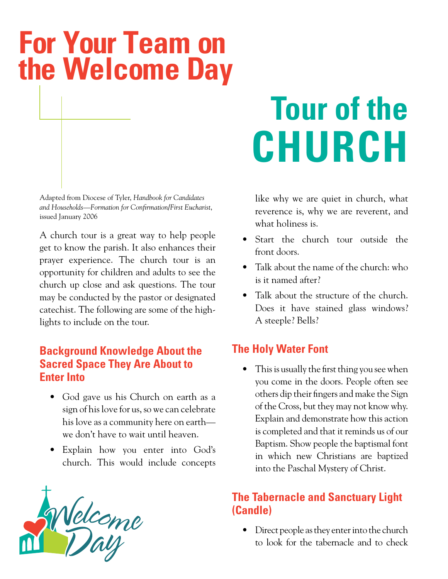## <span id="page-16-0"></span>**For Your Team on the Welcome Day**

Adapted from Diocese of Tyler, *Handbook for Candidates and Households—Formation for Confirmation/First Eucharist*, issued January 2006

A church tour is a great way to help people get to know the parish. It also enhances their prayer experience. The church tour is an opportunity for children and adults to see the church up close and ask questions. The tour may be conducted by the pastor or designated catechist. The following are some of the highlights to include on the tour.

### **Background Knowledge About the Sacred Space They Are About to Enter Into**

- God gave us his Church on earth as a sign of his love for us, so we can celebrate his love as a community here on earth we don't have to wait until heaven.
- Explain how you enter into God's church. This would include concepts



# **Tour of the CHURCH**

like why we are quiet in church, what reverence is, why we are reverent, and what holiness is.

- Start the church tour outside the front doors.
- Talk about the name of the church: who is it named after?
- Talk about the structure of the church. Does it have stained glass windows? A steeple? Bells?

### **The Holy Water Font**

• This is usually the first thing you see when you come in the doors. People often see others dip their fingers and make the Sign of the Cross, but they may not know why. Explain and demonstrate how this action is completed and that it reminds us of our Baptism. Show people the baptismal font in which new Christians are baptized into the Paschal Mystery of Christ.

### **The Tabernacle and Sanctuary Light (Candle)**

• Direct people as they enter into the church to look for the tabernacle and to check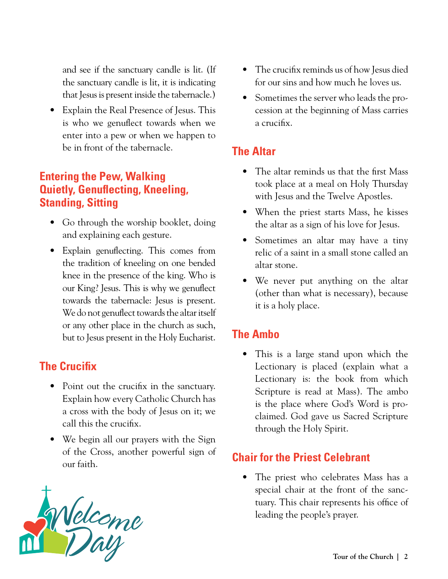and see if the sanctuary candle is lit. (If the sanctuary candle is lit, it is indicating that Jesus is present inside the tabernacle.)

• Explain the Real Presence of Jesus. This is who we genuflect towards when we enter into a pew or when we happen to be in front of the tabernacle.

### **Entering the Pew, Walking Quietly, Genuflecting, Kneeling, Standing, Sitting**

- Go through the worship booklet, doing and explaining each gesture.
- Explain genuflecting. This comes from the tradition of kneeling on one bended knee in the presence of the king. Who is our King? Jesus. This is why we genuflect towards the tabernacle: Jesus is present. We do not genuflect towards the altar itself or any other place in the church as such, but to Jesus present in the Holy Eucharist.

### **The Crucifix**

- Point out the crucifix in the sanctuary. Explain how every Catholic Church has a cross with the body of Jesus on it; we call this the crucifix.
- We begin all our prayers with the Sign of the Cross, another powerful sign of our faith.



- The crucifix reminds us of how Jesus died for our sins and how much he loves us.
- Sometimes the server who leads the procession at the beginning of Mass carries a crucifix.

## **The Altar**

- The altar reminds us that the first Mass took place at a meal on Holy Thursday with Jesus and the Twelve Apostles.
- When the priest starts Mass, he kisses the altar as a sign of his love for Jesus.
- Sometimes an altar may have a tiny relic of a saint in a small stone called an altar stone.
- We never put anything on the altar (other than what is necessary), because it is a holy place.

## **The Ambo**

• This is a large stand upon which the Lectionary is placed (explain what a Lectionary is: the book from which Scripture is read at Mass). The ambo is the place where God's Word is proclaimed. God gave us Sacred Scripture through the Holy Spirit.

## **Chair for the Priest Celebrant**

• The priest who celebrates Mass has a special chair at the front of the sanctuary. This chair represents his office of leading the people's prayer.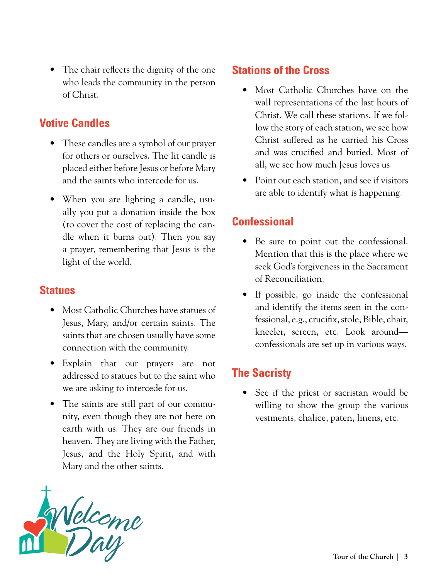• The chair reflects the dignity of the one who leads the community in the person of Christ.

### **Votive Candles**

- These candles are a symbol of our prayer for others or ourselves. The lit candle is placed either before Jesus or before Mary and the saints who intercede for us.
- When you are lighting a candle, usually you put a donation inside the box (to cover the cost of replacing the candle when it burns out). Then you say a prayer, remembering that Jesus is the light of the world.

### **Statues**

- Most Catholic Churches have statues of Jesus, Mary, and/or certain saints. The saints that are chosen usually have some connection with the community.
- Explain that our prayers are not addressed to statues but to the saint who we are asking to intercede for us.
- The saints are still part of our community, even though they are not here on earth with us. They are our friends in heaven. They are living with the Father, Jesus, and the Holy Spirit, and with Mary and the other saints.



### **Stations of the Cross**

- Most Catholic Churches have on the wall representations of the last hours of Christ. We call these stations. If we follow the story of each station, we see how Christ suffered as he carried his Cross and was crucified and buried. Most of all, we see how much Jesus loves us.
- Point out each station, and see if visitors are able to identify what is happening.

## **Confessional**

- Be sure to point out the confessional. Mention that this is the place where we seek God's forgiveness in the Sacrament of Reconciliation.
- If possible, go inside the confessional and identify the items seen in the confessional, e.g., crucifix, stole, Bible, chair, kneeler, screen, etc. Look around confessionals are set up in various ways.

## **The Sacristy**

• See if the priest or sacristan would be willing to show the group the various vestments, chalice, paten, linens, etc.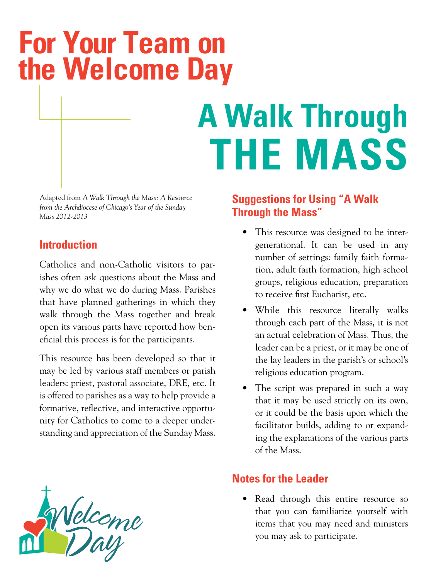## <span id="page-19-0"></span>**For Your Team on the Welcome Day**

# **A Walk Through THE MASS**

Adapted from *A Walk Through the Mass: A Resource from the Archdiocese of Chicago's Year of the Sunday Mass 2012-2013*

### **Introduction**

Catholics and non-Catholic visitors to parishes often ask questions about the Mass and why we do what we do during Mass. Parishes that have planned gatherings in which they walk through the Mass together and break open its various parts have reported how beneficial this process is for the participants.

This resource has been developed so that it may be led by various staff members or parish leaders: priest, pastoral associate, DRE, etc. It is offered to parishes as a way to help provide a formative, reflective, and interactive opportunity for Catholics to come to a deeper understanding and appreciation of the Sunday Mass.

### **Suggestions for Using "A Walk Through the Mass"**

- This resource was designed to be intergenerational. It can be used in any number of settings: family faith formation, adult faith formation, high school groups, religious education, preparation to receive first Eucharist, etc.
- While this resource literally walks through each part of the Mass, it is not an actual celebration of Mass. Thus, the leader can be a priest, or it may be one of the lay leaders in the parish's or school's religious education program.
- The script was prepared in such a way that it may be used strictly on its own, or it could be the basis upon which the facilitator builds, adding to or expanding the explanations of the various parts of the Mass.

## **Notes for the Leader**

• Read through this entire resource so that you can familiarize yourself with items that you may need and ministers you may ask to participate.

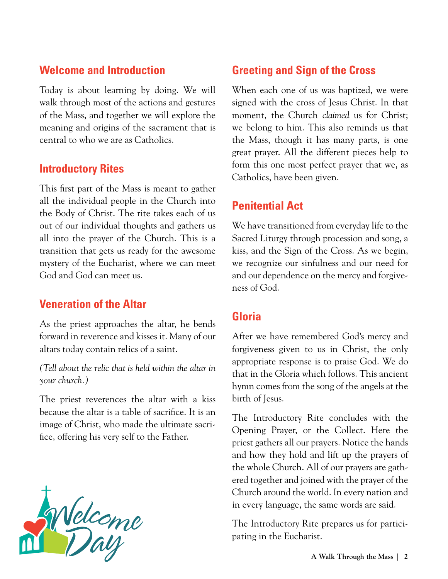### **Welcome and Introduction**

Today is about learning by doing. We will walk through most of the actions and gestures of the Mass, and together we will explore the meaning and origins of the sacrament that is central to who we are as Catholics.

### **Introductory Rites**

This first part of the Mass is meant to gather all the individual people in the Church into the Body of Christ. The rite takes each of us out of our individual thoughts and gathers us all into the prayer of the Church. This is a transition that gets us ready for the awesome mystery of the Eucharist, where we can meet God and God can meet us.

### **Veneration of the Altar**

As the priest approaches the altar, he bends forward in reverence and kisses it. Many of our altars today contain relics of a saint.

*(Tell about the relic that is held within the altar in your church.)*

The priest reverences the altar with a kiss because the altar is a table of sacrifice. It is an image of Christ, who made the ultimate sacrifice, offering his very self to the Father.



### **Greeting and Sign of the Cross**

When each one of us was baptized, we were signed with the cross of Jesus Christ. In that moment, the Church *claimed* us for Christ; we belong to him. This also reminds us that the Mass, though it has many parts, is one great prayer. All the different pieces help to form this one most perfect prayer that we, as Catholics, have been given.

### **Penitential Act**

We have transitioned from everyday life to the Sacred Liturgy through procession and song, a kiss, and the Sign of the Cross. As we begin, we recognize our sinfulness and our need for and our dependence on the mercy and forgiveness of God.

### **Gloria**

After we have remembered God's mercy and forgiveness given to us in Christ, the only appropriate response is to praise God. We do that in the Gloria which follows. This ancient hymn comes from the song of the angels at the birth of Jesus.

The Introductory Rite concludes with the Opening Prayer, or the Collect. Here the priest gathers all our prayers. Notice the hands and how they hold and lift up the prayers of the whole Church. All of our prayers are gathered together and joined with the prayer of the Church around the world. In every nation and in every language, the same words are said.

The Introductory Rite prepares us for participating in the Eucharist.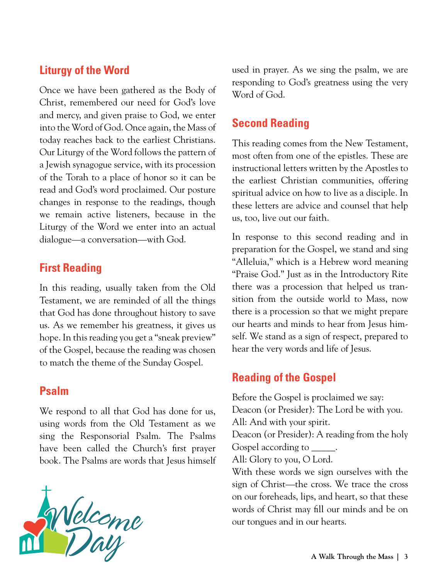### **Liturgy of the Word**

Once we have been gathered as the Body of Christ, remembered our need for God's love and mercy, and given praise to God, we enter into the Word of God. Once again, the Mass of today reaches back to the earliest Christians. Our Liturgy of the Word follows the pattern of a Jewish synagogue service, with its procession of the Torah to a place of honor so it can be read and God's word proclaimed. Our posture changes in response to the readings, though we remain active listeners, because in the Liturgy of the Word we enter into an actual dialogue—a conversation—with God.

### **First Reading**

In this reading, usually taken from the Old Testament, we are reminded of all the things that God has done throughout history to save us. As we remember his greatness, it gives us hope. In this reading you get a "sneak preview" of the Gospel, because the reading was chosen to match the theme of the Sunday Gospel.

### **Psalm**

We respond to all that God has done for us, using words from the Old Testament as we sing the Responsorial Psalm. The Psalms have been called the Church's first prayer book. The Psalms are words that Jesus himself



used in prayer. As we sing the psalm, we are responding to God's greatness using the very Word of God.

### **Second Reading**

This reading comes from the New Testament, most often from one of the epistles. These are instructional letters written by the Apostles to the earliest Christian communities, offering spiritual advice on how to live as a disciple. In these letters are advice and counsel that help us, too, live out our faith.

In response to this second reading and in preparation for the Gospel, we stand and sing "Alleluia," which is a Hebrew word meaning "Praise God." Just as in the Introductory Rite there was a procession that helped us transition from the outside world to Mass, now there is a procession so that we might prepare our hearts and minds to hear from Jesus himself. We stand as a sign of respect, prepared to hear the very words and life of Jesus.

### **Reading of the Gospel**

Before the Gospel is proclaimed we say: Deacon (or Presider): The Lord be with you. All: And with your spirit. Deacon (or Presider): A reading from the holy Gospel according to \_\_\_\_\_. All: Glory to you, O Lord. With these words we sign ourselves with the sign of Christ—the cross. We trace the cross on our foreheads, lips, and heart, so that these words of Christ may fill our minds and be on our tongues and in our hearts.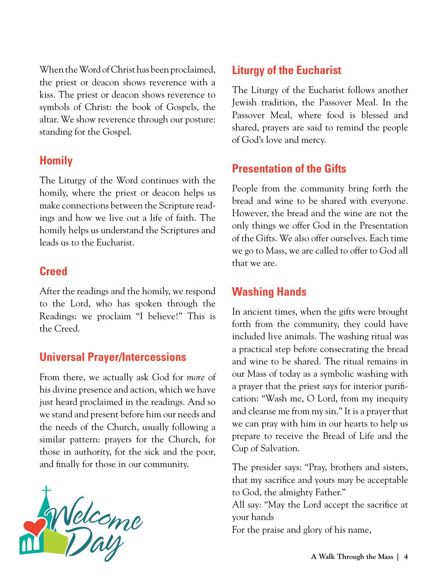When the Word of Christ has been proclaimed, the priest or deacon shows reverence with a kiss. The priest or deacon shows reverence to symbols of Christ: the book of Gospels, the altar. We show reverence through our posture: standing for the Gospel.

### **Homily**

The Liturgy of the Word continues with the homily, where the priest or deacon helps us make connections between the Scripture readings and how we live out a life of faith. The homily helps us understand the Scriptures and leads us to the Eucharist.

### **Creed**

After the readings and the homily, we respond to the Lord, who has spoken through the Readings: we proclaim "I believe!" This is the Creed.

### **Universal Prayer/Intercessions**

From there, we actually ask God for *more* of his divine presence and action, which we have just heard proclaimed in the readings. And so we stand and present before him our needs and the needs of the Church, usually following a similar pattern: prayers for the Church, for those in authority, for the sick and the poor, and finally for those in our community.



### **Liturgy of the Eucharist**

The Liturgy of the Eucharist follows another Jewish tradition, the Passover Meal. In the Passover Meal, where food is blessed and shared, prayers are said to remind the people of God's love and mercy.

### **Presentation of the Gifts**

People from the community bring forth the bread and wine to be shared with everyone. However, the bread and the wine are not the only things we offer God in the Presentation of the Gifts. We also offer ourselves. Each time we go to Mass, we are called to offer to God all that we are.

### **Washing Hands**

In ancient times, when the gifts were brought forth from the community, they could have included live animals. The washing ritual was a practical step before consecrating the bread and wine to be shared. The ritual remains in our Mass of today as a symbolic washing with a prayer that the priest says for interior purification: "Wash me, O Lord, from my inequity and cleanse me from my sin." It is a prayer that we can pray with him in our hearts to help us prepare to receive the Bread of Life and the Cup of Salvation.

The presider says: "Pray, brothers and sisters, that my sacrifice and yours may be acceptable to God, the almighty Father."

All say: "May the Lord accept the sacrifice at your hands

For the praise and glory of his name,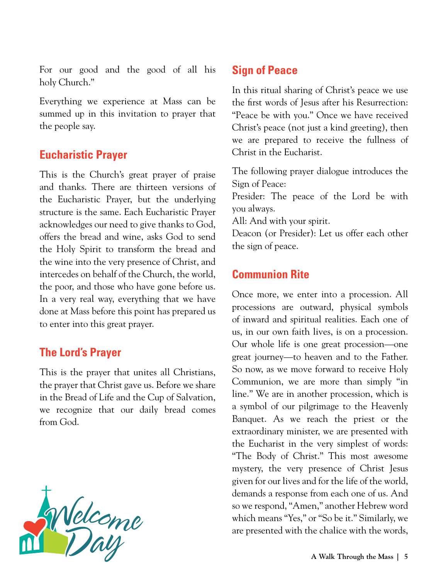For our good and the good of all his holy Church."

Everything we experience at Mass can be summed up in this invitation to prayer that the people say.

### **Eucharistic Prayer**

This is the Church's great prayer of praise and thanks. There are thirteen versions of the Eucharistic Prayer, but the underlying structure is the same. Each Eucharistic Prayer acknowledges our need to give thanks to God, offers the bread and wine, asks God to send the Holy Spirit to transform the bread and the wine into the very presence of Christ, and intercedes on behalf of the Church, the world, the poor, and those who have gone before us. In a very real way, everything that we have done at Mass before this point has prepared us to enter into this great prayer.

### **The Lord's Prayer**

This is the prayer that unites all Christians, the prayer that Christ gave us. Before we share in the Bread of Life and the Cup of Salvation, we recognize that our daily bread comes from God.



### **Sign of Peace**

In this ritual sharing of Christ's peace we use the first words of Jesus after his Resurrection: "Peace be with you." Once we have received Christ's peace (not just a kind greeting), then we are prepared to receive the fullness of Christ in the Eucharist.

The following prayer dialogue introduces the Sign of Peace:

Presider: The peace of the Lord be with you always.

All: And with your spirit.

Deacon (or Presider): Let us offer each other the sign of peace.

### **Communion Rite**

Once more, we enter into a procession. All processions are outward, physical symbols of inward and spiritual realities. Each one of us, in our own faith lives, is on a procession. Our whole life is one great procession—one great journey—to heaven and to the Father. So now, as we move forward to receive Holy Communion, we are more than simply "in line." We are in another procession, which is a symbol of our pilgrimage to the Heavenly Banquet. As we reach the priest or the extraordinary minister, we are presented with the Eucharist in the very simplest of words: "The Body of Christ." This most awesome mystery, the very presence of Christ Jesus given for our lives and for the life of the world, demands a response from each one of us. And so we respond, "Amen," another Hebrew word which means "Yes," or "So be it." Similarly, we are presented with the chalice with the words,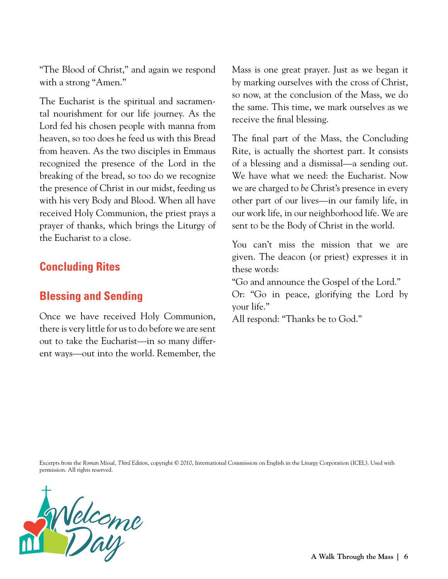"The Blood of Christ," and again we respond with a strong "Amen."

The Eucharist is the spiritual and sacramental nourishment for our life journey. As the Lord fed his chosen people with manna from heaven, so too does he feed us with this Bread from heaven. As the two disciples in Emmaus recognized the presence of the Lord in the breaking of the bread, so too do we recognize the presence of Christ in our midst, feeding us with his very Body and Blood. When all have received Holy Communion, the priest prays a prayer of thanks, which brings the Liturgy of the Eucharist to a close.

### **Concluding Rites**

### **Blessing and Sending**

Once we have received Holy Communion, there is very little for us to do before we are sent out to take the Eucharist—in so many different ways—out into the world. Remember, the

Mass is one great prayer. Just as we began it by marking ourselves with the cross of Christ, so now, at the conclusion of the Mass, we do the same. This time, we mark ourselves as we receive the final blessing.

The final part of the Mass, the Concluding Rite, is actually the shortest part. It consists of a blessing and a dismissal—a sending out. We have what we need: the Eucharist. Now we are charged to *be* Christ's presence in every other part of our lives—in our family life, in our work life, in our neighborhood life. We are sent to be the Body of Christ in the world.

You can't miss the mission that we are given. The deacon (or priest) expresses it in these words:

"Go and announce the Gospel of the Lord."

Or: "Go in peace, glorifying the Lord by your life."

All respond: "Thanks be to God."

Excerpts from the *Roman Missal, Third Edition*, copyright © 2010, International Commission on English in the Liturgy Corporation (ICEL). Used with permission. All rights reserved.

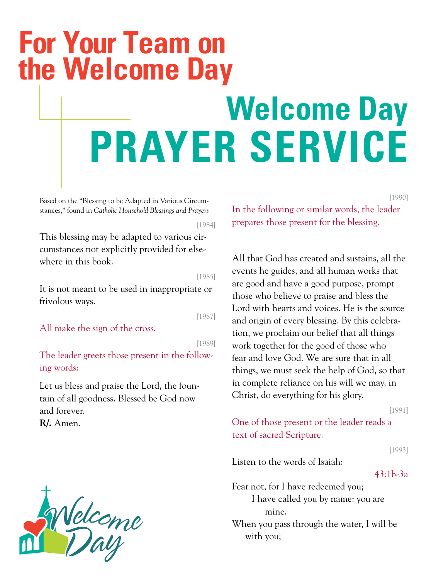## <span id="page-25-0"></span>**For Your Team on the Welcome Day**

# **Welcome Day PRAYER SERVICE**

Based on the "Blessing to be Adapted in Various Circumstances," found in *Catholic Household Blessings and Prayers*

[1984]

This blessing may be adapted to various circumstances not explicitly provided for elsewhere in this book.

[1985]

It is not meant to be used in inappropriate or frivolous ways.

[1987]

All make the sign of the cross.

[1989]

The leader greets those present in the following words:

Let us bless and praise the Lord, the fountain of all goodness. Blessed be God now and forever.

**R/.** Amen.



In the following or similar words, the leader prepares those present for the blessing.

All that God has created and sustains, all the events he guides, and all human works that are good and have a good purpose, prompt those who believe to praise and bless the Lord with hearts and voices. He is the source and origin of every blessing. By this celebration, we proclaim our belief that all things work together for the good of those who fear and love God. We are sure that in all things, we must seek the help of God, so that in complete reliance on his will we may, in Christ, do everything for his glory.

[1991]

[1990]

One of those present or the leader reads a text of sacred Scripture.

[1993]

Listen to the words of Isaiah:

43:1b-3a

Fear not, for I have redeemed you; I have called you by name: you are mine.

When you pass through the water, I will be with you;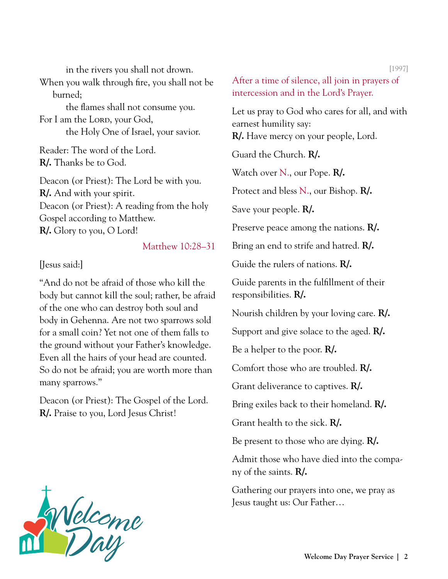in the rivers you shall not drown. When you walk through fire, you shall not be burned; the flames shall not consume you. For I am the Lorp, your God, the Holy One of Israel, your savior.

Reader: The word of the Lord. **R/.** Thanks be to God.

Deacon (or Priest): The Lord be with you. **R/.** And with your spirit. Deacon (or Priest): A reading from the holy Gospel according to Matthew. **R/.** Glory to you, O Lord!

### Matthew 10:28–31

[Jesus said:]

"And do not be afraid of those who kill the body but cannot kill the soul; rather, be afraid of the one who can destroy both soul and body in Gehenna. Are not two sparrows sold for a small coin? Yet not one of them falls to the ground without your Father's knowledge. Even all the hairs of your head are counted. So do not be afraid; you are worth more than many sparrows."

Deacon (or Priest): The Gospel of the Lord. **R/.** Praise to you, Lord Jesus Christ!

[1997] After a time of silence, all join in prayers of intercession and in the Lord's Prayer. Let us pray to God who cares for all, and with earnest humility say: **R/.** Have mercy on your people, Lord. Guard the Church. **R/.** Watch over N., our Pope. **R/.** Protect and bless N., our Bishop. **R/.** Save your people. **R/.** Preserve peace among the nations. **R/.** Bring an end to strife and hatred. **R/.** Guide the rulers of nations. **R/.** Guide parents in the fulfillment of their responsibilities. **R/.** Nourish children by your loving care. **R/.** Support and give solace to the aged. **R/.** Be a helper to the poor. **R/.** Comfort those who are troubled. **R/.** Grant deliverance to captives. **R/.** Bring exiles back to their homeland. **R/.** Grant health to the sick. **R/.** Be present to those who are dying. **R/.**

Admit those who have died into the company of the saints. **R/.**

Gathering our prayers into one, we pray as Jesus taught us: Our Father…

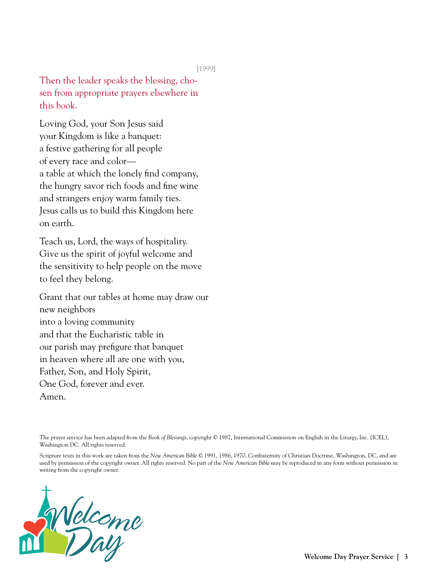[1999]

Then the leader speaks the blessing, chosen from appropriate prayers elsewhere in this book.

Loving God, your Son Jesus said your Kingdom is like a banquet: a festive gathering for all people of every race and color a table at which the lonely find company, the hungry savor rich foods and fine wine and strangers enjoy warm family ties. Jesus calls us to build this Kingdom here on earth.

Teach us, Lord, the ways of hospitality. Give us the spirit of joyful welcome and the sensitivity to help people on the move to feel they belong.

Grant that our tables at home may draw our new neighbors into a loving community and that the Eucharistic table in our parish may prefigure that banquet in heaven where all are one with you, Father, Son, and Holy Spirit, One God, forever and ever. Amen.

The prayer service has been adapted from the *Book of Blessings*, copyright © 1987, International Commission on English in the Liturgy, Inc. (ICEL), Washington DC. All rights reserved.

Scripture texts in this work are taken from the *New American Bible* © 1991, 1986, 1970, Confraternity of Christian Doctrine, Washington, DC, and are used by permission of the copyright owner. All rights reserved. No part of the *New American Bible* may be reproduced in any form without permission in writing from the copyright owner.

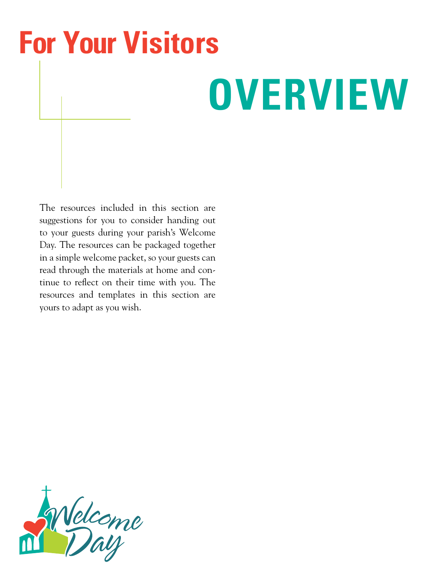# <span id="page-28-0"></span>**For Your Visitors**

# **OVERVIEW**

The resources included in this section are suggestions for you to consider handing out to your guests during your parish's Welcome Day. The resources can be packaged together in a simple welcome packet, so your guests can read through the materials at home and continue to reflect on their time with you. The resources and templates in this section are yours to adapt as you wish.

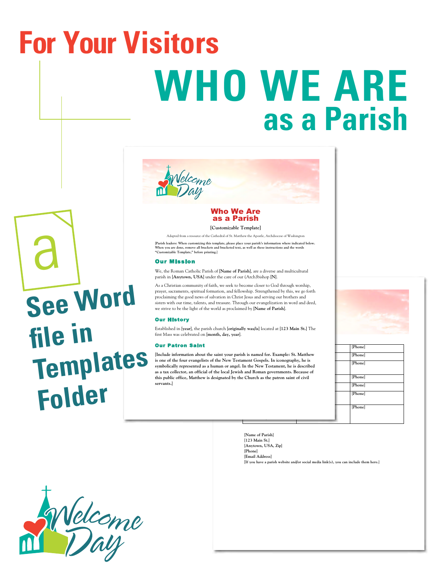# <span id="page-29-0"></span>**WHO WE ARE as a Parish For Your Visitors**



### Who We Are as a Parish

**[Customizable Template]** 

Adapted from a resource of the Cathedral of St. Matthew the Apostle, Archdiocese of Washington

[Parish leaders: When customizing this template, please place your parish's information where indicated below.<br>When you are done, remove all brackets and bracketed text, as well as these instructions and the words **"Customizable Template," before printing.**]

### Our Mission

We, the Roman Catholic Parish of [**Name of Parish**], are a diverse and multicultural parish in [**Anytown, USA**] under the care of our (Arch)bishop [**N**].

As a Christian community of faith, we seek to become closer to God through worship, prayer, sacraments, spiritual formation, and fellowship. Strengthened by this, we go forth proclaiming the good news of salvation in Christ Jesus and serving our brothers and sisters with our time, talents, and treasure. Through our evangelization in word and deed, we strive to be the light of the world as proclaimed by [**Name of Parish**].

#### Our History

Established in [**year**], the parish church [**originally was/is**] located at [**123 Main St.**] The first Mass was celebrated on [**month, day, year**].

#### Our Patron Saint

Associate Pastor: [**Name**] [**Email Address**] [**Phone**] [**Include information about the saint your parish is named for. Example: St. Matthew Example 19 City Cation: Education: Education: Education: Education: Education: [Phone]** [Phone] this public office, Matthew is designated by the Church as the patron saint of civil **[Phone**] [Phone] RCIA Coordinator: [**Name**] [**Email Address**] [**Phone**] **is one of the four evangelists of the New Testament Gospels. In iconography, he is as a tax collector, an official of the local Jewish and Roman governments. Because of servants.**]





[**Name of Parish**] [**123 Main St.**] [**Anytown, USA, Zip**] [**Phone**] [**Email Address**] [**If you have a parish website and/or social media link(s), you can include them here.**]



Welcome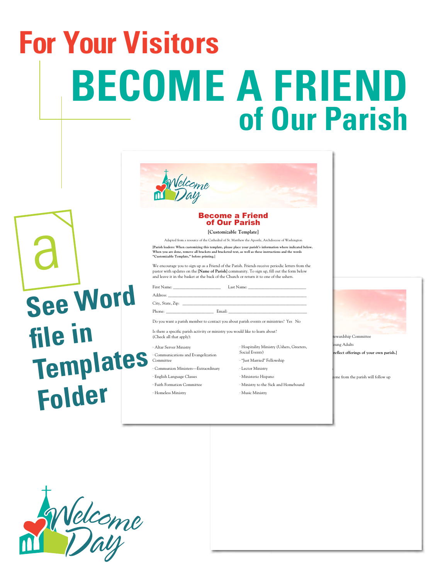# <span id="page-30-0"></span>**BECOME A FRIEND of Our Parish For Your Visitors**

| elcome<br>Day          |  |
|------------------------|--|
| <b>Become a Friend</b> |  |
| of Our Parish          |  |

#### **[Customizable Template]**

Adapted from a resource of the Cathedral of St. Matthew the Apostle, Archdiocese of Washington

[Parish leaders: When customizing this template, please place your parish's information where indicated below.<br>When you are done, remove all brackets and bracketed text, as well as these instructions and the words **"Customizable Template," before printing.**]

We encourage you to sign up as a Friend of the Parish. Friends receive periodic letters from the pastor with updates on the [**Name of Parish**] community. To sign up, fill out the form below and leave it in the basket at the back of the Church or return it to one of the ushers.

First Name: \_\_\_\_\_\_\_\_\_\_\_\_\_\_\_\_\_\_\_\_\_\_\_ Last Name: \_\_\_\_\_\_\_\_\_\_\_\_\_\_\_\_\_\_\_\_\_\_\_\_\_\_\_\_

Address:

City, State, Zip: \_\_\_\_\_\_\_\_\_\_\_\_\_\_\_\_\_\_\_\_\_\_\_\_\_\_\_\_\_\_\_\_\_\_\_\_\_\_\_\_\_\_\_\_\_\_\_\_\_\_\_\_\_\_\_\_\_\_\_\_

Phone: \_\_\_\_\_\_\_\_\_\_\_\_\_\_\_\_\_\_\_\_\_\_\_ Email: \_\_\_\_\_\_\_\_\_\_\_\_\_\_\_\_\_\_\_\_\_\_\_\_\_\_\_\_\_\_\_\_\_\_\_\_\_\_ Do you want a parish member to contact you about parish events or ministries? Yes No

Is there a specific parish activity or ministry you would like to learn about? (Check all that apply):

· Altar Server Ministry

· Communications and Evangelization Committee

· Communion Ministers—Extraordinary

- · English Language Classes
- · Faith Formation Committee
- · Homeless Ministry
- · Hospitality Ministry (Ushers, Greeters, Social Events) · "Just Married" Fellowship
- · Lector Ministry **Washington**
- · Ministerio Hispano
- · Ministry to the Sick and Homebound
- · Music Ministry



wardship Committee · Young Adults  $\text{reflect of} \text{ferings of your own parish.}]$ 

**Thank Your for Some from the parish will follow up** 



a

**See Word** 

**Templates** 

**Folder**

**file in**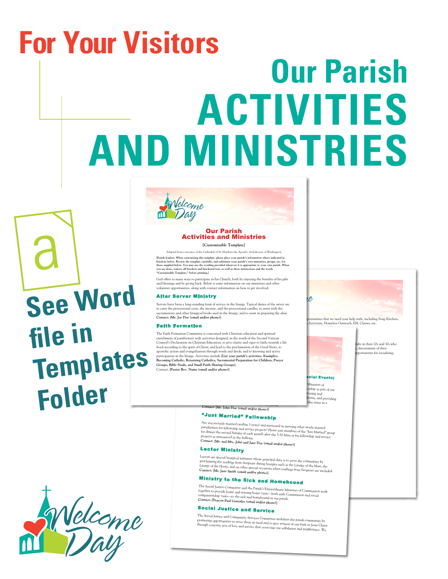# <span id="page-31-0"></span>**Our Parish ACTIVITIES AND MINISTRIES For Your Visitors**



#### Our Parish Activities and Ministries **[Customizable Template]**

Adapted from a resource of the Cathedral of St. Matthew the Apostle, Archdiocese of Washington [Parish leaders: When customiring this template, please place your parish's information where indicated in<br>thrackets below. Review the template carefully, and substitute your parish's own ministries, groups, etc. for<br>those

God offers so many ways to participate in his Church, both by enjoying the benefits of his gifts and blessings and by giving back. Below is some information on our ministries and other volunteer opportunities, along with contact information on how to get involved.

### Altar Server Ministry

Servers have been a long-standing form of service in the liturgy. Typical duties of the server are<br>to carry the processional cross, the incense, and the processional candles; to assist with the<br>sacramentary and other litur **Contact:** [**Mr. Joe Doe (email and/or phone)**]

#### Faith Formation

The Faith Formation Committee is concerned with Christian education and spiritual<br>enrichment of parishioners with activities designed, in the words of the Second Vatican Council's Declaration on Christian Education, to give clarity and vigor to faith; nourish a life<br>lived according to the spirit of Christ; and lead to the proclamation of the Good News, to<br>apostolic action and evangelizatio participation in the liturgy. Activities include [List your parish's activities. Examples:<br>Becoming Catholic, Returning Catholics, Sacramental Preparation for Children, Prayer<br>Groups, Bible Study, and Small Fairli Sharing



tunities that we need your help with, including Soup Kitchen, **Activities, Homeless Outreach, ESL Classes, etc. Contact: [Ms. Jane Doe (email and/or phone)]**



ts in their 20s and 30s who discernment of their and determinent as steep.<br>portunities for socializing

### Hospitality Ministers, Greeters, Social Events)<br>Clair Ministers, Social Events, Social Events

isters of e or the many community. During the many or ship as part of our literature of  $\frac{1}{n}$ ecting and<br>letins, and providing letins, and  $proj$  information where  $n_{\text{also}}$  in also assist in a

variety of ways during special events held at the parish. **Contact:** [**Mr. John Doe (email and/or phone)**]

### "Just Married" Fellowship

Are you recently married (within 3 years) and interested in meeting other newly married parishioners for fellowship and service projects? Please join meeting other newly married<br>for dinner the second Sunday of each month after the S-30 Mass or for the "Just Martied" group<br>projects as announced in the bulletin **Contact:** [**Mr. and Mrs. John and Jane Doe (email and/or phone)**]

### Lector Ministry

Lectors are special liturgical ministers whose principal duty is to serve the community by<br>proclaiming the readings from Scripture during liturgies such as the Liturgy of the Mass, the<br>Liturgy of the Hours, and on other sp

### Ministry to the Sick and Homebound

The Social Justice Committee and the Parish's Extraordinary Ministers of Communion work together to provide home and nursing home visits—both with Communion and social companionship visits—to the sick and homebound in our parish. **Contact:** [**Deacon Paul Gonzales (email and/or phone)**]

### Social Justice and Service

The Social Justice and Community Services Committee mobilizes the p promoting opportunities to serve those in need and to give witness the parish community by<br>through concrete acts of love and service that overcome our selfishness and indifference. We<br>draw through concrete acts of love and



a

**See Word** 

**Templates** 

**file in** 

**Folder**